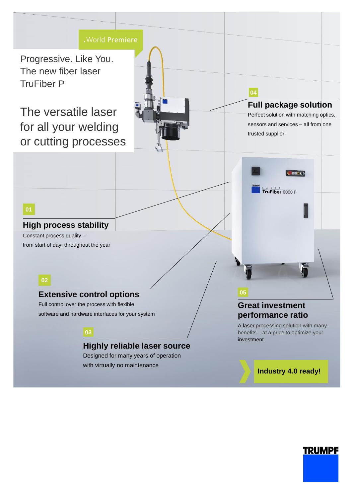

# **TRUMPF**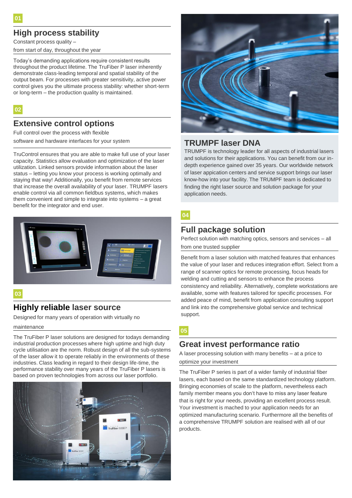## **High process stability**

Constant process quality –

from start of day, throughout the year

Today's demanding applications require consistent results throughout the product lifetime. The TruFiber P laser inherently demonstrate class-leading temporal and spatial stability of the output beam. For processes with greater sensitivity, active power control gives you the ultimate process stability: whether short-term or long-term – the production quality is maintained.

**02**

#### **Extensive control options**

Full control over the process with flexible

software and hardware interfaces for your system

TruControl ensures that you are able to make full use of your laser capacity. Statistics allow evaluation and optimization of the laser utilization. Linked sensors provide information about the laser status – letting you know your process is working optimally and staying that way! Additionally, you benefit from remote services that increase the overall availability of your laser. TRUMPF lasers enable control via all common fieldbus systems, which makes them convenient and simple to integrate into systems – a great benefit for the integrator and end user.



#### **03**

#### **Highly reliable laser source**

Designed for many years of operation with virtually no

#### maintenance

The TruFiber P laser solutions are designed for todays demanding industrial production processes where high uptime and high duty cycle utilisation are the norm. Robust design of all the sub-systems of the laser allow it to operate reliably in the environments of these industries. Class leading in regard to their design life-time, the performance stability over many years of the TruFiber P lasers is based on proven technologies from across our laser portfolio.





### **TRUMPF laser DNA**

TRUMPF is technology leader for all aspects of industrial lasers and solutions for their applications. You can benefit from our indepth experience gained over 35 years. Our worldwide network of laser appication centers and service support brings our laser know-how into your facility. The TRUMPF team is dedicated to finding the right laser source and solution package for your application needs.

#### **04**

#### **Full package solution**

Perfect solution with matching optics, sensors and services – all from one trusted supplier

Benefit from a laser solution with matched features that enhances the value of your laser and reduces integration effort. Select from a range of scanner optics for remote processing, focus heads for welding and cutting and sensors to enhance the process consistency and reliability. Alternatively, complete workstations are available, some with features tailored for specific processes. For added peace of mind, benefit from application consulting support and link into the comprehensive global service and technical support.

#### **05**

#### **Great invest performance ratio**

A laser processing solution with many benefits – at a price to optimize your investment

The TruFiber P series is part of a wider family of industrial fiber lasers, each based on the same standardized technology platform. Bringing economies of scale to the platform, nevertheless each family member means you don't have to miss any laser feature that is right for your needs, providing an excellent process result. Your investment is mached to your application needs for an optimized manufacturing scenario. Furthermore all the benefits of a comprehensive TRUMPF solution are realised with all of our products.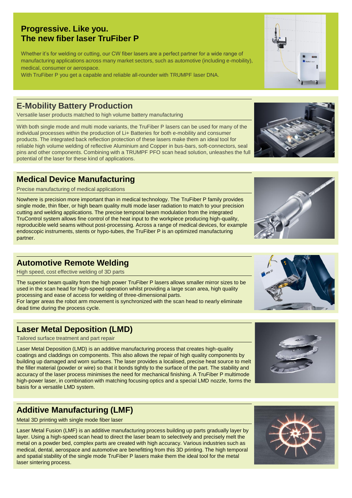## **E-Mobility Battery Production**

Versatile laser products matched to high volume battery manufacturing

With both single mode and multi mode variants, the TruFiber P lasers can be used for many of the individual processes within the production of Li+ Batteries for both e-mobility and consumer products. The integrated back reflection protection of these lasers make them an ideal tool for reliable high volume welding of reflective Aluminium and Copper in bus-bars, soft-connectors, seal pins and other components. Combining with a TRUMPF PFO scan head solution, unleashes the full potential of the laser for these kind of applications.

## **Medical Device Manufacturing**

Precise manufacturing of medical applications

Nowhere is precision more important than in medical technology. The TruFiber P family provides single mode, thin fiber, or high beam quality multi mode laser radiation to match to your precision cutting and welding applications. The precise temporal beam modulation from the integrated TruControl system allows fine control of the heat input to the workpiece producing high-quality, reproducible weld seams without post-processing. Across a range of medical devices, for example endoscopic instruments, stents or hypo-tubes, the TruFiber P is an optimized manufacturing partner.

### **Automotive Remote Welding**

High speed, cost effective welding of 3D parts

The superior beam quality from the high power TruFiber P lasers allows smaller mirror sizes to be used in the scan head for high-speed operation whilst providing a large scan area, high quality processing and ease of access for welding of three-dimensional parts. For larger areas the robot arm movement is synchronized with the scan head to nearly eliminate

dead time during the process cycle.

## **Laser Metal Deposition (LMD)**

Tailored surface treatment and part repair

Laser Metal Deposition (LMD) is an additive manufacturing process that creates high-quality coatings and claddings on components. This also allows the repair of high quality components by building up damaged and worn surfaces. The laser provides a localised, precise heat source to melt the filler material (powder or wire) so that it bonds tightly to the surface of the part. The stability and accuracy of the laser process minimises the need for mechanical finishing. A TruFiber P multimode high-power laser, in combination with matching focusing optics and a special LMD nozzle, forms the basis for a versatile LMD system.

# **Additive Manufacturing (LMF)**

Metal 3D printing with single mode fiber laser

Laser Metal Fusion (LMF) is an additive manufacturing process building up parts gradually layer by layer. Using a high-speed scan head to direct the laser beam to selectively and precisely melt the metal on a powder bed, complex parts are created with high accuracy. Various industries such as medical, dental, aerospace and automotive are benefitting from this 3D printing. The high temporal and spatial stability of the single mode TruFiber P lasers make them the ideal tool for the metal laser sintering process.

## **Progressive. Like you. The new fiber laser TruFiber P**

Whether it's for welding or cutting, our CW fiber lasers are a perfect partner for a wide range of manufacturing applications across many market sectors, such as automotive (including e-mobility), medical, consumer or aerospace.

With TruFiber P you get a capable and reliable all-rounder with TRUMPF laser DNA.